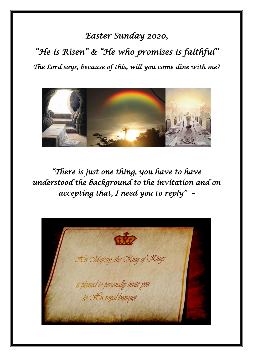## *Easter Sunday 2020,*

*"He is Risen" & "He who promises is faithful" The Lord says, because of this, will you come dine with me?* 



*"There is just one thing, you have to have understood the background to the invitation and on accepting that, I need you to reply" –* 

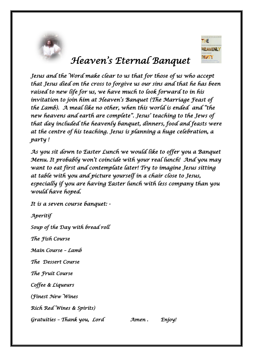



# *Heaven's Eternal Banquet*

*Jesus and the Word make clear to us that for those of us who accept that Jesus died on the cross to forgive us our sins and that he has been raised to new life for us, we have much to look forward to in his invitation to join him at Heaven's Banquet (The Marriage Feast of the Lamb). A meal like no other, when this world is ended and "the new heavens and earth are complete". Jesus' teaching to the Jews of that day included the heavenly banquet, dinners, food and feasts were at the centre of his teaching. Jesus is planning a huge celebration, a party !* 

*As you sit down to Easter Lunch we would like to offer you a Banquet Menu. It probably won't coincide with your real lunch! And you may want to eat first and contemplate later! Try to imagine Jesus sitting at table with you and picture yourself in a chair close to Jesus, especially if you are having Easter lunch with less company than you would have hoped.* 

*It is a seven course banquet: -* 

*Aperitif Soup of the Day with bread roll The Fish Course Main Course – Lamb The Dessert Course The Fruit Course Coffee & Liqueurs (Finest New Wines Rich Red Wines & Spirits) Gratuities – Thank you, Lord Amen . Enjoy!*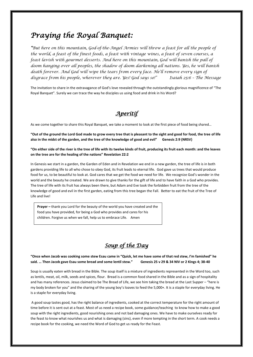### *Praying the Royal Banquet:*

*"But here on this mountain, God-of-the-Angel Armies will throw a feast for all the people of the world, a feast of the finest foods, a feast with vintage wines, a feast of seven courses, a feast lavish with gourmet desserts. And here on this mountain, God will banish the pall of doom hanging over all peoples, the shadow of doom darkening all nations. Yes, he will banish death forever. And God will wipe the tears from every face. He'll remove every sign of disgrace from his people, wherever they are. Yes! God says so!" Isaiah 25:6 – The Message*

The invitation to share in the extravagance of God's love revealed through the outstandingly glorious magnificence of "The Royal Banquet". Surely we can trace the way he disciples us using food and drink in his Word?

### *Aperitif*

As we come together to share this Royal Banquet, we take a moment to look at the first piece of food being shared…

**"Out of the ground the Lord God made to grow every tree that is pleasant to the sight and good for food, the tree of life also in the midst of the garden, and the tree of the knowledge of good and evil" Genesis 2:9 (NRSV)**

**"On either side of the river is the tree of life with its twelve kinds of fruit, producing its fruit each month: and the leaves on the tree are for the healing of the nations" Revelation 22:2**

In Genesis we start in a garden, the Garden of Eden and in Revelation we end in a new garden, the tree of life is in both gardens providing life to all who chose to obey God, its fruit leads to eternal life. God gave us trees that would produce food for us, to be beautiful to look at. God cares that we get the food we need for life. We recognize God's wonder in the world and the beauty he created. We are drawn to give thanks for the gift of life and to have faith in a God who provides. The tree of life with its fruit has always been there, but Adam and Eve took the forbidden fruit from the tree of the knowledge of good and evil in the first garden, eating from this tree began the Fall. Better to eat the fruit of the Tree of Life and live!

**Prayer –** thank you Lord for the beauty of the world you have created and the food you have provided, for being a God who provides and cares for his children. Forgive us when we fall, help us to embrace Life. Amen

### *Soup of the Day*

**"Once when Jacob was cooking some stew Esau came in "Quick, let me have some of that red stew, I'm famished" he said. … Then Jacob gave Esau some bread and some lentil stew." Genesis 25 v 29 & 34 NIV or 2 Kings 4; 38-40**

Soup is usually eaten with bread in the Bible. The soup itself is a mixture of ingredients represented in the Word too, such as lentils, meat, oil, milk, seeds and spices, flour. Bread is a common food shared in the Bible and as a sign of hospitality and has many references. Jesus claimed to be The Bread of Life, we see him taking the bread at the Last Supper – "here is my body broken for you" and the sharing of the young boy's loaves to feed the 5,000+. It is a staple for everyday living. He is a staple for everyday living.

A good soup tastes good, has the right balance of ingredients, cooked at the correct temperature for the right amount of time before it is sent out at a feast. Most of us need a recipe book, some guidance/teaching to know how to make a good soup with the right ingredients, good nourishing ones and not bad damaging ones. We have to make ourselves ready for the feast to know what nourishes us and what is damaging (sins), even if more tempting in the short term. A cook needs a recipe book for the cooking, we need the Word of God to get us ready for the Feast.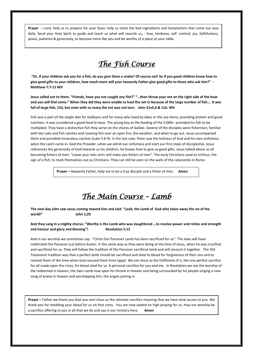**Prayer** – Lord, help us to prepare for your feast, help us resist the bad ingredients and temptations that come our way daily. Send your Holy Spirit to guide and teach us what will nourish us, - love, kindness, self -control, joy, faithfulness, peace, patience & generosity, to become more like you and be worthy of a place at your table.

## *The Fish Course*

**"Or, if your children ask you for a fish, do you give them a snake? Of course not! So if you good children know how to give good gifts to your children, how much more will your heavenly Father give good gifts to those who ask him?" - Matthew 7:7-11 NIV**

**Jesus called out to them. "Friends, have you not caught any fish?" "…then throw your net on the right side of the boat and you will find some." When they did they were unable to haul the net in because of the large number of fish…. It was full of large fish, 153, but even with so many the net was not torn. John 21v5,6 & 11b. NIV**

Fish was a part of the staple diet for Galileans and for many who lived by lakes or the sea shore, providing protein and good nutrition. It was considered a good food to have. The young boy at the feeding of the 5,000+ provided his fish to be multiplied. They have a distinctive fish they serve on the shores of Galilee. Several of the disciples were fishermen, familiar with the Lake and fish catches and roasting fish over an open fire, the weather, and when to go out. Jesus accompanied them and provided miraculous catches (Luke 5:8-9). In the last case, Peter saw the holiness of God and his own sinfulness when the catch came in. God the Provider, when we admit our sinfulness and start our first steps of discipleship. Jesus references the generosity of God towards us his children, he knows how to give us good gifts. Jesus talked about us all becoming fishers of men. "Leave your nets and I will make you fishers of men". The early Christians used an ichthus, the sign of a fish, to mark themselves out as Christians. They can still be seen on the walls of the catacombs in Rome.

 **Prayer –** Heavenly Father, help me to be a true disciple and a fisher of men. **Amen**

### *The Main Course – Lamb*

**The next day John saw Jesus coming toward him and said "Look, the Lamb of God who takes away the sin of the world!" John 1;29**

**And they sang in a mighty chorus: "Worthy is the Lamb who was slaughtered …to receive power and riches and strength and honour and glory and blessing"! Revelation 5:12**

And in our worship we sometimes say: "Christ Our Passover Lamb has been sacrificed for us". The Jews will have celebrated the Passover just before Easter, in the same way as they were doing at the time of Jesus, when he was crucified and sacrificed for us. They will follow the tradition of the Passover sacrificial lamb and will recount it together. The Old Testament tradition was that a perfect lamb should be sacrificed and shed its blood for forgiveness of their sins and to remind them of the time when God rescued them from Egypt. We see Jesus as the fulfilment of it, the one perfect sacrifice for all made upon the cross, his blood shed for us. A personal sacrifice for you and me. In Revelation we see the worship of the redeemed in heaven, the slain Lamb now upon his throne in heaven and being surrounded by his people singing a new song of praise in heaven and worshipping him, the angels joining in.

**Prayer –** Father we thank you that you sent Jesus as the ultimate sacrifice meaning that we have total access to you. We thank you for shedding your blood for us on that cross. You are now seated on high praying for us, may our worship be a sacrifice offering to you in all that we do and say in our ministry here. **Amen**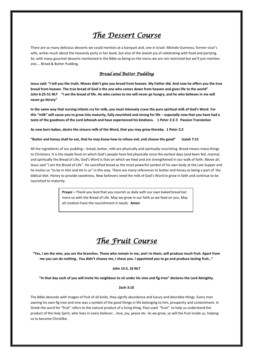## *The Dessert Course*

There are so many delicious desserts we could mention at a banquet and, one in Israel. Michele Guinness, former vicar's wife, writes much about the heavenly party in her book, but also of the Jewish joy of celebrating with food and partying. So, with many gourmet desserts mentioned in the Bible as being on the menu we are not restricted but we'll just mention one…. Bread & Butter Pudding.

#### *Bread and Butter Pudding*

**Jesus said: "I tell you the truth. Moses didn't give you bread from heaven. My Father did. And now he offers you the true bread from heaven. The true bread of God is the one who comes down from heaven and gives life to the world" John 6:25-51 NLT "I am the bread of life. He who comes to me will never go hungry, and he who believes in me will never go thirsty"**

**In the same way that nursing infants cry for milk, you must intensely crave the pure spiritual milk of God's Word. For this "milk" will cause you to grow into maturity, fully nourished and strong for life – especially now that you have had a taste of the goodness of the Lord Jehovah and have experienced his kindness. 1 Peter 2:2-3 Passion Translation**

**As new born babes, desire the sincere milk of the Word, that you may grow thereby. 1 Peter 2:2**

**"Butter and honey shall he eat, that he may know how to refuse evil, and choose the good" Isaiah 7:15**

All the ingredients of our pudding – bread, butter, milk are physically and spiritually nourishing. Bread means many things to Christians. It is the staple food on which God's people have fed physically since the earliest days (and been fed..manna) and spiritually the Bread of Life, God's Word is that on which we feed and are strengthened in our walk of faith. Above all, Jesus said "I am the Bread of Life". He sanctified bread as the most powerful symbol of his own body at the Last Supper and he invites us "to be in Him and He in us" in this way. There are many references to butter and honey as being a part of the biblical diet. Honey to provide sweetness. New believers need the milk of God's Word to grow in faith and continue to be nourished to maturity.

> **Prayer –** Thank you God that you nourish us daily with our own baked bread but more so with the Bread of Life. May we grow in our faith as we feed on you. May all creation have the nourishment it needs. **Amen**

## *The Fruit Course*

**"Yes, I am the vine, you are the branches. Those who remain in me, and I in them, will produce much fruit. Apart from me you can do nothing.. You didn't choose me, I chose you. I appointed you to go and produce lasting fruit…"** 

#### **John 15:5, 16 NLT**

**"In that day each of you will invite his neighbour to sit under his vine and fig-tree" declares the Lord Almighty.** 

#### **Zech 3:10**

The Bible abounds with images of fruit of all kinds, they signify abundance and luxury and desirable things. Every man owning his own fig tree and vine was a symbol of the good things in life belonging to him, prosperity and contentment. In Greek the word for "fruit" refers to the natural product of a living thing. Paul used "fruit" to help us understand the product of the Holy Spirit, who lives in every believer… love, joy, peace etc. As we grow, so will the fruit inside us, helping us to become Christlike.